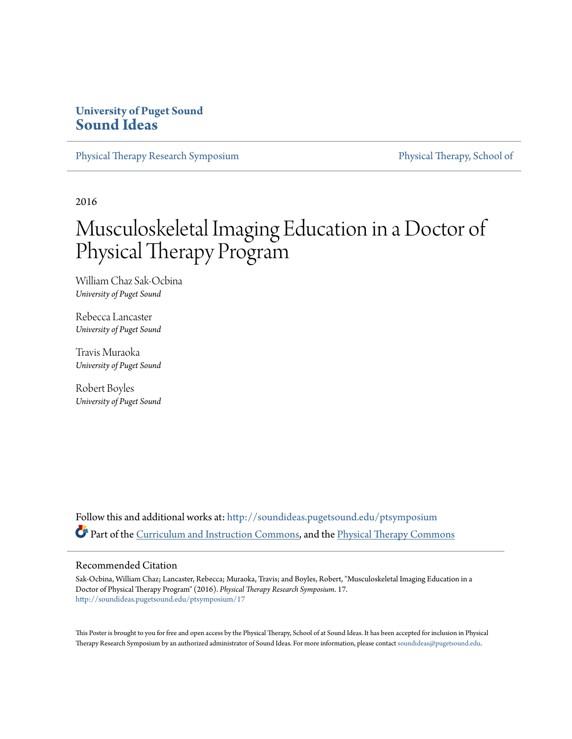### **University of Puget Sound [Sound Ideas](http://soundideas.pugetsound.edu?utm_source=soundideas.pugetsound.edu%2Fptsymposium%2F17&utm_medium=PDF&utm_campaign=PDFCoverPages)**

[Physical Therapy Research Symposium](http://soundideas.pugetsound.edu/ptsymposium?utm_source=soundideas.pugetsound.edu%2Fptsymposium%2F17&utm_medium=PDF&utm_campaign=PDFCoverPages) [Physical Therapy, School of](http://soundideas.pugetsound.edu/pt_student?utm_source=soundideas.pugetsound.edu%2Fptsymposium%2F17&utm_medium=PDF&utm_campaign=PDFCoverPages)

2016

### Musculoskeletal Imaging Education in a Doctor of Physical Therapy Program

William Chaz Sak-Ocbina *University of Puget Sound*

Rebecca Lancaster *University of Puget Sound*

Travis Muraoka *University of Puget Sound*

Robert Boyles *University of Puget Sound*

Follow this and additional works at: [http://soundideas.pugetsound.edu/ptsymposium](http://soundideas.pugetsound.edu/ptsymposium?utm_source=soundideas.pugetsound.edu%2Fptsymposium%2F17&utm_medium=PDF&utm_campaign=PDFCoverPages) Part of the [Curriculum and Instruction Commons](http://network.bepress.com/hgg/discipline/786?utm_source=soundideas.pugetsound.edu%2Fptsymposium%2F17&utm_medium=PDF&utm_campaign=PDFCoverPages), and the [Physical Therapy Commons](http://network.bepress.com/hgg/discipline/754?utm_source=soundideas.pugetsound.edu%2Fptsymposium%2F17&utm_medium=PDF&utm_campaign=PDFCoverPages)

### Recommended Citation

Sak-Ocbina, William Chaz; Lancaster, Rebecca; Muraoka, Travis; and Boyles, Robert, "Musculoskeletal Imaging Education in a Doctor of Physical Therapy Program" (2016). *Physical Therapy Research Symposium*. 17. [http://soundideas.pugetsound.edu/ptsymposium/17](http://soundideas.pugetsound.edu/ptsymposium/17?utm_source=soundideas.pugetsound.edu%2Fptsymposium%2F17&utm_medium=PDF&utm_campaign=PDFCoverPages)

This Poster is brought to you for free and open access by the Physical Therapy, School of at Sound Ideas. It has been accepted for inclusion in Physical Therapy Research Symposium by an authorized administrator of Sound Ideas. For more information, please contact [soundideas@pugetsound.edu](mailto:soundideas@pugetsound.edu).